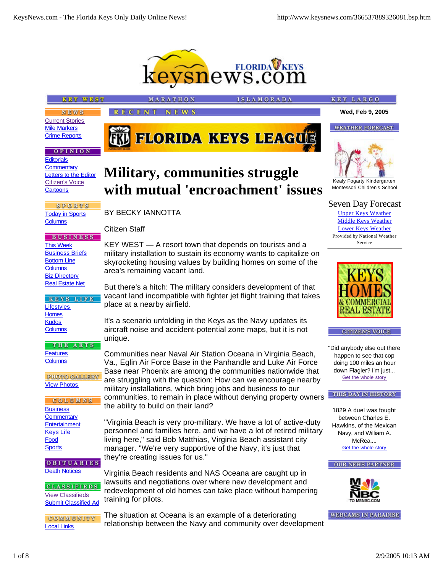

**SLAMORADA** 

# **KEY WEST**

**NEWS** Current Stories Mile Markers Crime Reports

## **OPINION**

**Editorials Commentary** Letters to the Editor Citizen's Voice **Cartoons** 

SPORTS Today in Sports **Columns** 

**BUSINESS** This Week **Business Briefs** Bottom Line **Columns** Biz Directory **Real Estate Net** 

KEYS LIFE **Lifestyles Homes Kudos Columns** 

THE ARTS **Features Columns** 

**PHOTO GALLERY** View Photos

COLUMNS **Business Commentary Entertainment** Keys Life Food **Sports** 

OBITUARIES **Death Notices** 

**CLASSIFIEDS** View Classifieds Submit Classified Ad

COMMUNITY Local Links

# **Military, communities struggle with mutual 'encroachment' issues**

**FRU FLORIDA KEYS LEAGUE** 

## BY BECKY IANNOTTA

**MARATHON** 

**RECENT NEWS** 

Citizen Staff

KEY WEST — A resort town that depends on tourists and a military installation to sustain its economy wants to capitalize on skyrocketing housing values by building homes on some of the area's remaining vacant land.

But there's a hitch: The military considers development of that vacant land incompatible with fighter jet flight training that takes place at a nearby airfield.

It's a scenario unfolding in the Keys as the Navy updates its aircraft noise and accident-potential zone maps, but it is not unique.

Communities near Naval Air Station Oceana in Virginia Beach, Va., Eglin Air Force Base in the Panhandle and Luke Air Force Base near Phoenix are among the communities nationwide that are struggling with the question: How can we encourage nearby military installations, which bring jobs and business to our communities, to remain in place without denying property owners the ability to build on their land?

"Virginia Beach is very pro-military. We have a lot of active-duty personnel and families here, and we have a lot of retired military living here," said Bob Matthias, Virginia Beach assistant city manager. "We're very supportive of the Navy, it's just that they're creating issues for us."

Virginia Beach residents and NAS Oceana are caught up in lawsuits and negotiations over where new development and redevelopment of old homes can take place without hampering training for pilots.

The situation at Oceana is an example of a deteriorating relationship between the Navy and community over development



**Wed, Feb 9, 2005**

**WEATHER FORECAST** 

**KEY LARGO** 

Kealy Fogarty Kindergarten Montessori Children's School

Seven Day Forecast

Upper Keys Weather Middle Keys Weather Lower Keys Weather Provided by National Weather Service



**CITIZEN'S VOICE** 

"Did anybody else out there happen to see that cop doing 100 miles an hour down Flagler? I'm just... Get the whole story

#### THIS DAY IN HISTORY

1829 A duel was fought between Charles E. Hawkins, of the Mexican Navy, and William A. McRea,... Get the whole story





**WEBCAMS IN PARADISE**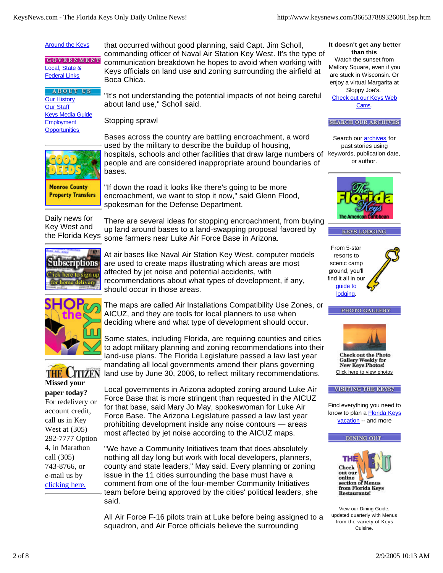# **Around the Keys**

**GOVERNMENT** Local, State & **Federal Links** 

**ABOUT US** Our History Our Staff Keys Media Guide **Employment Opportunities** 

that occurred without good planning, said Capt. Jim Scholl, commanding officer of Naval Air Station Key West. It's the type of communication breakdown he hopes to avoid when working with Keys officials on land use and zoning surrounding the airfield at Boca Chica.

"It's not understanding the potential impacts of not being careful about land use," Scholl said.

Stopping sprawl



**Monroe County Property Transfers**  Bases across the country are battling encroachment, a word used by the military to describe the buildup of housing, hospitals, schools and other facilities that draw large numbers of keywords, publication date, people and are considered inappropriate around boundaries of bases.

"If down the road it looks like there's going to be more encroachment, we want to stop it now," said Glenn Flood, spokesman for the Defense Department.

Daily news for Key West and the Florida Keys

There are several ideas for stopping encroachment, from buying up land around bases to a land-swapping proposal favored by some farmers near Luke Air Force Base in Arizona.



At air bases like Naval Air Station Key West, computer models are used to create maps illustrating which areas are most affected by jet noise and potential accidents, with recommendations about what types of development, if any, should occur in those areas.



The maps are called Air Installations Compatibility Use Zones, or AICUZ, and they are tools for local planners to use when deciding where and what type of development should occur.



Some states, including Florida, are requiring counties and cities to adopt military planning and zoning recommendations into their land-use plans. The Florida Legislature passed a law last year mandating all local governments amend their plans governing land use by June 30, 2006, to reflect military recommendations.

**Missed your paper today?** For redelivery or account credit, call us in Key West at (305) 292-7777 Option 4, in Marathon call (305) 743-8766, or e-mail us by clicking here.

Local governments in Arizona adopted zoning around Luke Air Force Base that is more stringent than requested in the AICUZ for that base, said Mary Jo May, spokeswoman for Luke Air Force Base. The Arizona Legislature passed a law last year prohibiting development inside any noise contours — areas most affected by jet noise according to the AICUZ maps.

"We have a Community Initiatives team that does absolutely nothing all day long but work with local developers, planners, county and state leaders," May said. Every planning or zoning issue in the 11 cities surrounding the base must have a comment from one of the four-member Community Initiatives team before being approved by the cities' political leaders, she said.

All Air Force F-16 pilots train at Luke before being assigned to a squadron, and Air Force officials believe the surrounding

#### **It doesn't get any better than this**

Watch the sunset from Mallory Square, even if you are stuck in Wisconsin. Or enjoy a virtual Margarita at Sloppy Joe's. Check out our Keys Web Cams.

## **SEARCH OUR ARCHIVES**

Search our **archives** for past stories using or author.











**Check out the Photo Gallery Weekly for New Keys Photos!** Click here to view photos

#### **VISITING THE KEYS?**

Find everything you need to know to plan a Florida Keys vacation -- and more





View our Dining Guide, updated quarterly with Menus from the variety of Keys Cuisine.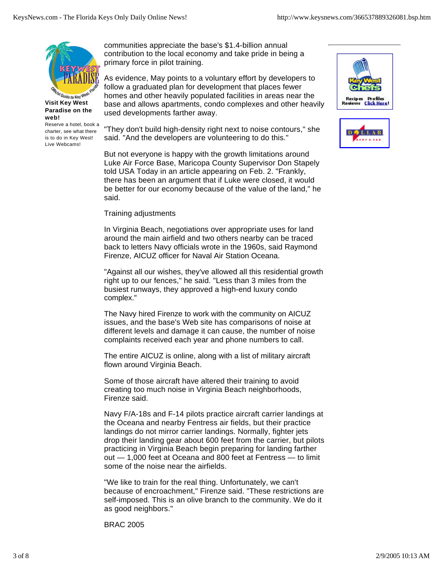

**Paradise on the web!**

Reserve a hotel, book a charter, see what there is to do in Key West! Live Webcams!

communities appreciate the base's \$1.4-billion annual contribution to the local economy and take pride in being a primary force in pilot training.

As evidence, May points to a voluntary effort by developers to follow a graduated plan for development that places fewer homes and other heavily populated facilities in areas near the base and allows apartments, condo complexes and other heavily used developments farther away.

"They don't build high-density right next to noise contours," she said. "And the developers are volunteering to do this."

But not everyone is happy with the growth limitations around Luke Air Force Base, Maricopa County Supervisor Don Stapely told USA Today in an article appearing on Feb. 2. "Frankly, there has been an argument that if Luke were closed, it would be better for our economy because of the value of the land," he said.

## Training adjustments

In Virginia Beach, negotiations over appropriate uses for land around the main airfield and two others nearby can be traced back to letters Navy officials wrote in the 1960s, said Raymond Firenze, AICUZ officer for Naval Air Station Oceana.

"Against all our wishes, they've allowed all this residential growth right up to our fences," he said. "Less than 3 miles from the busiest runways, they approved a high-end luxury condo complex."

The Navy hired Firenze to work with the community on AICUZ issues, and the base's Web site has comparisons of noise at different levels and damage it can cause, the number of noise complaints received each year and phone numbers to call.

The entire AICUZ is online, along with a list of military aircraft flown around Virginia Beach.

Some of those aircraft have altered their training to avoid creating too much noise in Virginia Beach neighborhoods, Firenze said.

Navy F/A-18s and F-14 pilots practice aircraft carrier landings at the Oceana and nearby Fentress air fields, but their practice landings do not mirror carrier landings. Normally, fighter jets drop their landing gear about 600 feet from the carrier, but pilots practicing in Virginia Beach begin preparing for landing farther out — 1,000 feet at Oceana and 800 feet at Fentress — to limit some of the noise near the airfields.

"We like to train for the real thing. Unfortunately, we can't because of encroachment," Firenze said. "These restrictions are self-imposed. This is an olive branch to the community. We do it as good neighbors."

BRAC 2005



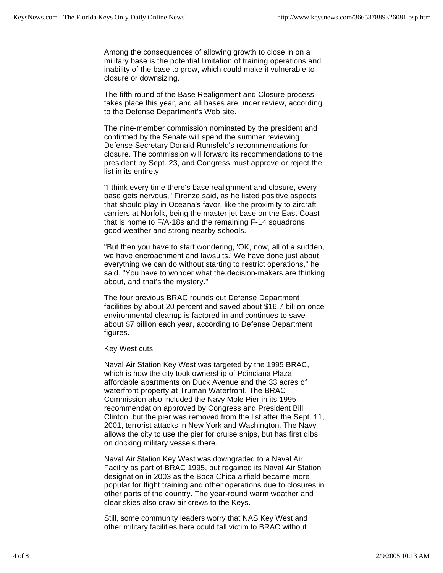Among the consequences of allowing growth to close in on a military base is the potential limitation of training operations and inability of the base to grow, which could make it vulnerable to closure or downsizing.

The fifth round of the Base Realignment and Closure process takes place this year, and all bases are under review, according to the Defense Department's Web site.

The nine-member commission nominated by the president and confirmed by the Senate will spend the summer reviewing Defense Secretary Donald Rumsfeld's recommendations for closure. The commission will forward its recommendations to the president by Sept. 23, and Congress must approve or reject the list in its entirety.

"I think every time there's base realignment and closure, every base gets nervous," Firenze said, as he listed positive aspects that should play in Oceana's favor, like the proximity to aircraft carriers at Norfolk, being the master jet base on the East Coast that is home to F/A-18s and the remaining F-14 squadrons, good weather and strong nearby schools.

"But then you have to start wondering, 'OK, now, all of a sudden, we have encroachment and lawsuits.' We have done just about everything we can do without starting to restrict operations," he said. "You have to wonder what the decision-makers are thinking about, and that's the mystery."

The four previous BRAC rounds cut Defense Department facilities by about 20 percent and saved about \$16.7 billion once environmental cleanup is factored in and continues to save about \$7 billion each year, according to Defense Department figures.

Key West cuts

Naval Air Station Key West was targeted by the 1995 BRAC, which is how the city took ownership of Poinciana Plaza affordable apartments on Duck Avenue and the 33 acres of waterfront property at Truman Waterfront. The BRAC Commission also included the Navy Mole Pier in its 1995 recommendation approved by Congress and President Bill Clinton, but the pier was removed from the list after the Sept. 11, 2001, terrorist attacks in New York and Washington. The Navy allows the city to use the pier for cruise ships, but has first dibs on docking military vessels there.

Naval Air Station Key West was downgraded to a Naval Air Facility as part of BRAC 1995, but regained its Naval Air Station designation in 2003 as the Boca Chica airfield became more popular for flight training and other operations due to closures in other parts of the country. The year-round warm weather and clear skies also draw air crews to the Keys.

Still, some community leaders worry that NAS Key West and other military facilities here could fall victim to BRAC without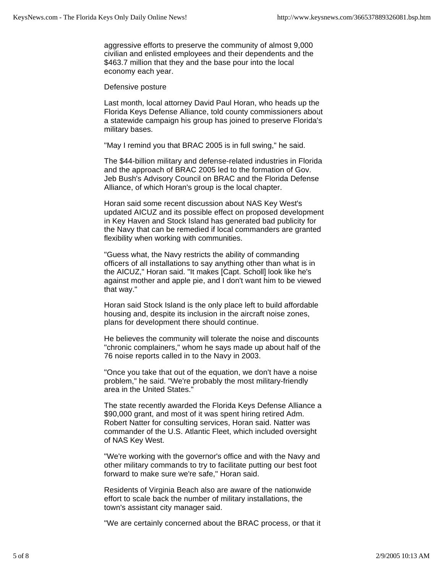aggressive efforts to preserve the community of almost 9,000 civilian and enlisted employees and their dependents and the \$463.7 million that they and the base pour into the local economy each year.

Defensive posture

Last month, local attorney David Paul Horan, who heads up the Florida Keys Defense Alliance, told county commissioners about a statewide campaign his group has joined to preserve Florida's military bases.

"May I remind you that BRAC 2005 is in full swing," he said.

The \$44-billion military and defense-related industries in Florida and the approach of BRAC 2005 led to the formation of Gov. Jeb Bush's Advisory Council on BRAC and the Florida Defense Alliance, of which Horan's group is the local chapter.

Horan said some recent discussion about NAS Key West's updated AICUZ and its possible effect on proposed development in Key Haven and Stock Island has generated bad publicity for the Navy that can be remedied if local commanders are granted flexibility when working with communities.

"Guess what, the Navy restricts the ability of commanding officers of all installations to say anything other than what is in the AICUZ," Horan said. "It makes [Capt. Scholl] look like he's against mother and apple pie, and I don't want him to be viewed that way."

Horan said Stock Island is the only place left to build affordable housing and, despite its inclusion in the aircraft noise zones, plans for development there should continue.

He believes the community will tolerate the noise and discounts "chronic complainers," whom he says made up about half of the 76 noise reports called in to the Navy in 2003.

"Once you take that out of the equation, we don't have a noise problem," he said. "We're probably the most military-friendly area in the United States."

The state recently awarded the Florida Keys Defense Alliance a \$90,000 grant, and most of it was spent hiring retired Adm. Robert Natter for consulting services, Horan said. Natter was commander of the U.S. Atlantic Fleet, which included oversight of NAS Key West.

"We're working with the governor's office and with the Navy and other military commands to try to facilitate putting our best foot forward to make sure we're safe," Horan said.

Residents of Virginia Beach also are aware of the nationwide effort to scale back the number of military installations, the town's assistant city manager said.

"We are certainly concerned about the BRAC process, or that it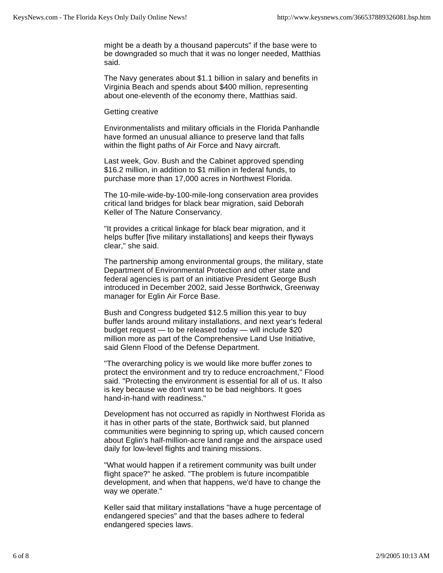might be a death by a thousand papercuts" if the base were to be downgraded so much that it was no longer needed, Matthias said.

The Navy generates about \$1.1 billion in salary and benefits in Virginia Beach and spends about \$400 million, representing about one-eleventh of the economy there, Matthias said.

#### Getting creative

Environmentalists and military officials in the Florida Panhandle have formed an unusual alliance to preserve land that falls within the flight paths of Air Force and Navy aircraft.

Last week, Gov. Bush and the Cabinet approved spending \$16.2 million, in addition to \$1 million in federal funds, to purchase more than 17,000 acres in Northwest Florida.

The 10-mile-wide-by-100-mile-long conservation area provides critical land bridges for black bear migration, said Deborah Keller of The Nature Conservancy.

"It provides a critical linkage for black bear migration, and it helps buffer [five military installations] and keeps their flyways clear," she said.

The partnership among environmental groups, the military, state Department of Environmental Protection and other state and federal agencies is part of an initiative President George Bush introduced in December 2002, said Jesse Borthwick, Greenway manager for Eglin Air Force Base.

Bush and Congress budgeted \$12.5 million this year to buy buffer lands around military installations, and next year's federal budget request — to be released today — will include \$20 million more as part of the Comprehensive Land Use Initiative, said Glenn Flood of the Defense Department.

"The overarching policy is we would like more buffer zones to protect the environment and try to reduce encroachment," Flood said. "Protecting the environment is essential for all of us. It also is key because we don't want to be bad neighbors. It goes hand-in-hand with readiness."

Development has not occurred as rapidly in Northwest Florida as it has in other parts of the state, Borthwick said, but planned communities were beginning to spring up, which caused concern about Eglin's half-million-acre land range and the airspace used daily for low-level flights and training missions.

"What would happen if a retirement community was built under flight space?" he asked. "The problem is future incompatible development, and when that happens, we'd have to change the way we operate."

Keller said that military installations "have a huge percentage of endangered species" and that the bases adhere to federal endangered species laws.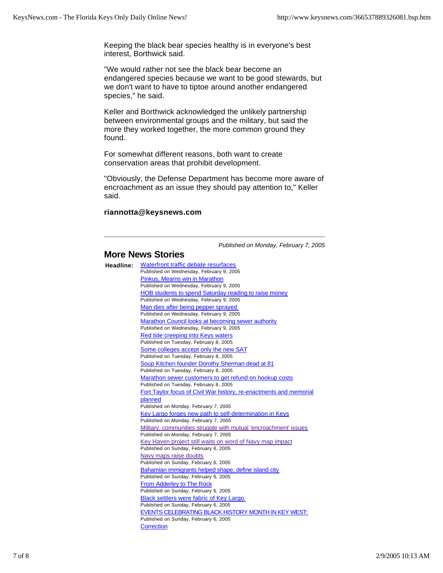Keeping the black bear species healthy is in everyone's best interest, Borthwick said.

"We would rather not see the black bear become an endangered species because we want to be good stewards, but we don't want to have to tiptoe around another endangered species," he said.

Keller and Borthwick acknowledged the unlikely partnership between environmental groups and the military, but said the more they worked together, the more common ground they found.

For somewhat different reasons, both want to create conservation areas that prohibit development.

"Obviously, the Defense Department has become more aware of encroachment as an issue they should pay attention to," Keller said.

## **riannotta@keysnews.com**

*Published on Monday, February 7, 2005*

# **More News Stories**

| Headline: | Waterfront traffic debate resurfaces                               |
|-----------|--------------------------------------------------------------------|
|           | Published on Wednesday, February 9, 2005                           |
|           | Pinkus, Mearns win in Marathon                                     |
|           | Published on Wednesday, February 9, 2005                           |
|           | HOB students to spend Saturday reading to raise money              |
|           | Published on Wednesday, February 9, 2005                           |
|           | Man dies after being pepper sprayed                                |
|           | Published on Wednesday, February 9, 2005                           |
|           | Marathon Council looks at becoming sewer authority                 |
|           | Published on Wednesday, February 9, 2005                           |
|           | Red tide creeping into Keys waters                                 |
|           | Published on Tuesday, February 8, 2005                             |
|           | Some colleges accept only the new SAT                              |
|           | Published on Tuesday, February 8, 2005                             |
|           | Soup Kitchen founder Dorothy Sherman dead at 81                    |
|           | Published on Tuesday, February 8, 2005                             |
|           | Marathon sewer customers to get refund on hookup costs             |
|           | Published on Tuesday, February 8, 2005                             |
|           | Fort Taylor focus of Civil War history, re-enactments and memorial |
|           | planned                                                            |
|           | Published on Monday, February 7, 2005                              |
|           | Key Largo forges new path to self-determination in Keys            |
|           | Published on Monday, February 7, 2005                              |
|           | Military, communities struggle with mutual 'encroachment' issues   |
|           | Published on Monday, February 7, 2005                              |
|           | Key Haven project still waits on word of Navy map impact           |
|           | Published on Sunday, February 6, 2005                              |
|           | Navy maps raise doubts<br>Published on Sunday, February 6, 2005    |
|           | Bahamian immigrants helped shape, define island city               |
|           | Published on Sunday, February 6, 2005                              |
|           | From Adderley to The Rock                                          |
|           | Published on Sunday, February 6, 2005                              |
|           | Black settlers were fabric of Key Largo                            |
|           | Published on Sunday, February 6, 2005                              |
|           | EVENTS CELEBRATING BLACK HISTORY MONTH IN KEY WEST:                |
|           | Published on Sunday, February 6, 2005                              |
|           | Correction                                                         |
|           |                                                                    |